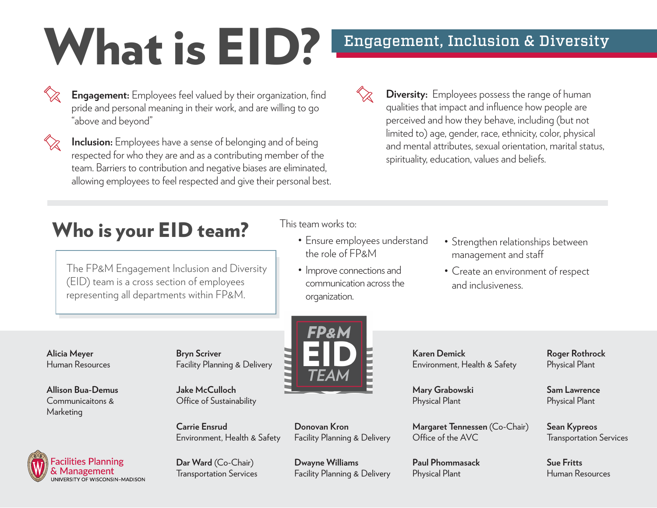# What is EID? Engagement, Inclusion & Diversity

- 
- **Engagement:** Employees feel valued by their organization, find pride and personal meaning in their work, and are willing to go "above and beyond"
- 

**Inclusion:** Employees have a sense of belonging and of being respected for who they are and as a contributing member of the team. Barriers to contribution and negative biases are eliminated, allowing employees to feel respected and give their personal best.

- 
- **Diversity:** Employees possess the range of human qualities that impact and influence how people are perceived and how they behave, including (but not limited to) age, gender, race, ethnicity, color, physical and mental attributes, sexual orientation, marital status, spirituality, education, values and beliefs.

# Who is your EID team?

The FP&M Engagement Inclusion and Diversity (EID) team is a cross section of employees representing all departments within FP&M.

This team works to:

- Ensure employees understand the role of FP&M
- Improve connections and communication across the organization.
- Strengthen relationships between management and staff
- Create an environment of respect and inclusiveness.

**Alicia Meyer** Human Resources

**Allison Bua-Demus** Communicaitons & Marketing

**Facilities Planning** & Management<br>
UNIVERSITY OF WISCONSIN-MADISON **Bryn Scriver** Facility Planning & Delivery

**Jake McCulloch** Office of Sustainability

**Carrie Ensrud**  Environment, Health & Safety

**Dar Ward** (Co-Chair) Transportation Services

**Donovan Kron** Facility Planning & Delivery

**Dwayne Williams** Facility Planning & Delivery **Karen Demick** Environment, Health & Safety

**Mary Grabowski** Physical Plant

**Margaret Tennessen** (Co-Chair) Office of the AVC

**Paul Phommasack** Physical Plant

**Roger Rothrock** Physical Plant

**Sam Lawrence** Physical Plant

**Sean Kypreos** Transportation Services

**Sue Fritts**  Human Resources